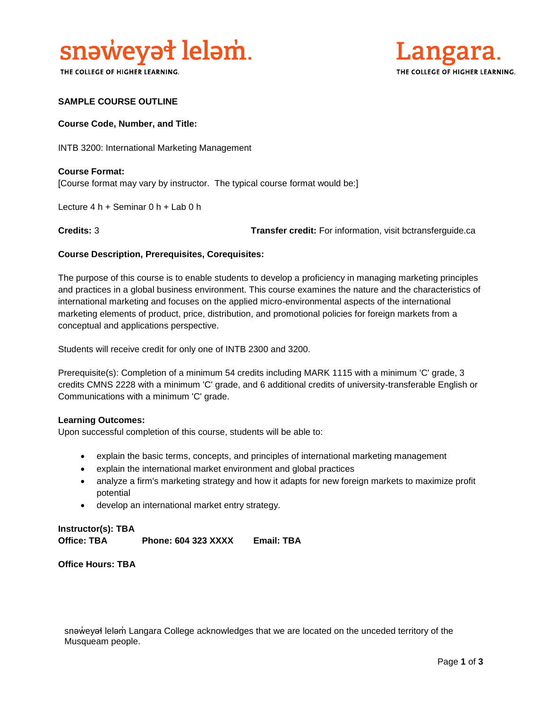

THE COLLEGE OF HIGHER LEARNING.



#### **SAMPLE COURSE OUTLINE**

#### **Course Code, Number, and Title:**

INTB 3200: International Marketing Management

**Course Format:** [Course format may vary by instructor. The typical course format would be:]

Lecture 4 h + Seminar 0 h + Lab 0 h

**Credits:** 3 **Transfer credit:** For information, visit bctransferguide.ca

#### **Course Description, Prerequisites, Corequisites:**

The purpose of this course is to enable students to develop a proficiency in managing marketing principles and practices in a global business environment. This course examines the nature and the characteristics of international marketing and focuses on the applied micro-environmental aspects of the international marketing elements of product, price, distribution, and promotional policies for foreign markets from a conceptual and applications perspective.

Students will receive credit for only one of INTB 2300 and 3200.

Prerequisite(s): Completion of a minimum 54 credits including MARK 1115 with a minimum 'C' grade, 3 credits CMNS 2228 with a minimum 'C' grade, and 6 additional credits of university-transferable English or Communications with a minimum 'C' grade.

#### **Learning Outcomes:**

Upon successful completion of this course, students will be able to:

- explain the basic terms, concepts, and principles of international marketing management
- explain the international market environment and global practices
- analyze a firm's marketing strategy and how it adapts for new foreign markets to maximize profit potential
- develop an international market entry strategy.

# **Instructor(s): TBA Office: TBA Phone: 604 323 XXXX Email: TBA**

**Office Hours: TBA** 

snəweyał leləm Langara College acknowledges that we are located on the unceded territory of the Musqueam people.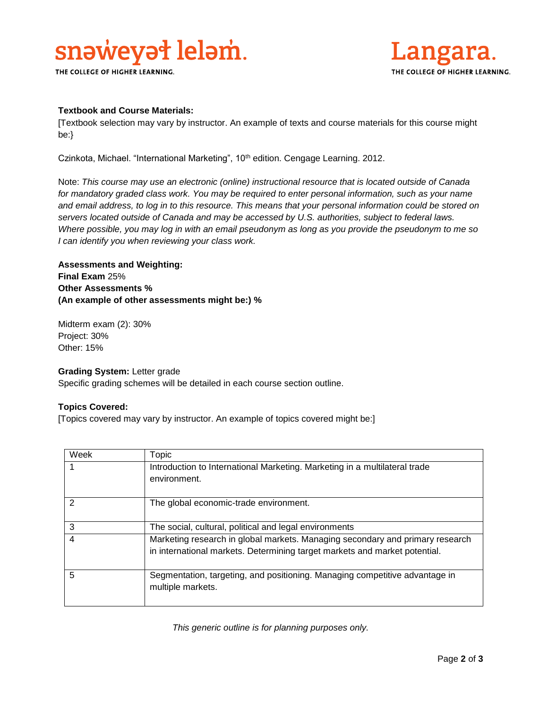# snaweyał lelam.

THE COLLEGE OF HIGHER LEARNING.



#### **Textbook and Course Materials:**

[Textbook selection may vary by instructor. An example of texts and course materials for this course might be:}

Czinkota, Michael. "International Marketing", 10<sup>th</sup> edition. Cengage Learning. 2012.

Note: *This course may use an electronic (online) instructional resource that is located outside of Canada for mandatory graded class work. You may be required to enter personal information, such as your name and email address, to log in to this resource. This means that your personal information could be stored on servers located outside of Canada and may be accessed by U.S. authorities, subject to federal laws. Where possible, you may log in with an email pseudonym as long as you provide the pseudonym to me so I can identify you when reviewing your class work.* 

**Assessments and Weighting: Final Exam** 25% **Other Assessments % (An example of other assessments might be:) %**

Midterm exam (2): 30% Project: 30% Other: 15%

#### **Grading System:** Letter grade

Specific grading schemes will be detailed in each course section outline.

#### **Topics Covered:**

[Topics covered may vary by instructor. An example of topics covered might be:]

| Week | Topic                                                                         |
|------|-------------------------------------------------------------------------------|
|      | Introduction to International Marketing. Marketing in a multilateral trade    |
|      | environment.                                                                  |
|      |                                                                               |
| 2    | The global economic-trade environment.                                        |
|      |                                                                               |
| 3    | The social, cultural, political and legal environments                        |
| 4    | Marketing research in global markets. Managing secondary and primary research |
|      | in international markets. Determining target markets and market potential.    |
|      |                                                                               |
| 5    | Segmentation, targeting, and positioning. Managing competitive advantage in   |
|      | multiple markets.                                                             |
|      |                                                                               |

*This generic outline is for planning purposes only.*